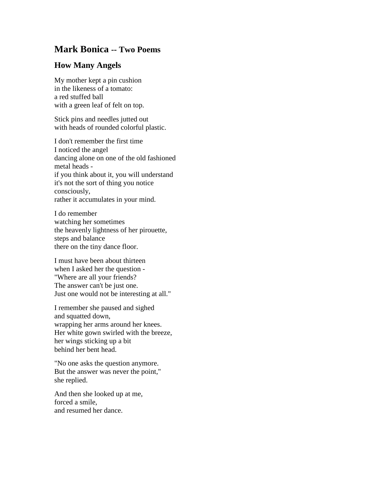## **Mark Bonica -- Two Poems**

## **How Many Angels**

My mother kept a pin cushion in the likeness of a tomato: a red stuffed ball with a green leaf of felt on top.

Stick pins and needles jutted out with heads of rounded colorful plastic.

I don't remember the first time I noticed the angel dancing alone on one of the old fashioned metal heads if you think about it, you will understand it's not the sort of thing you notice consciously, rather it accumulates in your mind.

I do remember watching her sometimes the heavenly lightness of her pirouette, steps and balance there on the tiny dance floor.

I must have been about thirteen when I asked her the question - "Where are all your friends? The answer can't be just one. Just one would not be interesting at all."

I remember she paused and sighed and squatted down, wrapping her arms around her knees. Her white gown swirled with the breeze, her wings sticking up a bit behind her bent head.

"No one asks the question anymore. But the answer was never the point," she replied.

And then she looked up at me, forced a smile, and resumed her dance.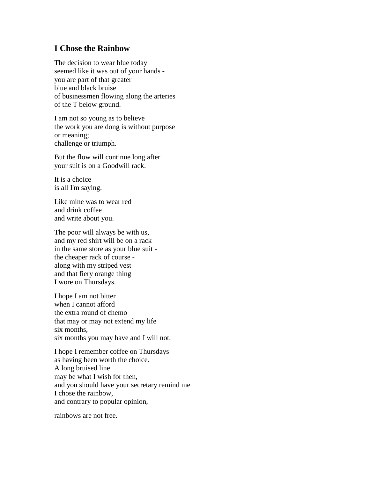## **I Chose the Rainbow**

The decision to wear blue today seemed like it was out of your hands you are part of that greater blue and black bruise of businessmen flowing along the arteries of the T below ground.

I am not so young as to believe the work you are dong is without purpose or meaning; challenge or triumph.

But the flow will continue long after your suit is on a Goodwill rack.

It is a choice is all I'm saying.

Like mine was to wear red and drink coffee and write about you.

The poor will always be with us, and my red shirt will be on a rack in the same store as your blue suit the cheaper rack of course along with my striped vest and that fiery orange thing I wore on Thursdays.

I hope I am not bitter when I cannot afford the extra round of chemo that may or may not extend my life six months, six months you may have and I will not.

I hope I remember coffee on Thursdays as having been worth the choice. A long bruised line may be what I wish for then, and you should have your secretary remind me I chose the rainbow, and contrary to popular opinion,

rainbows are not free.